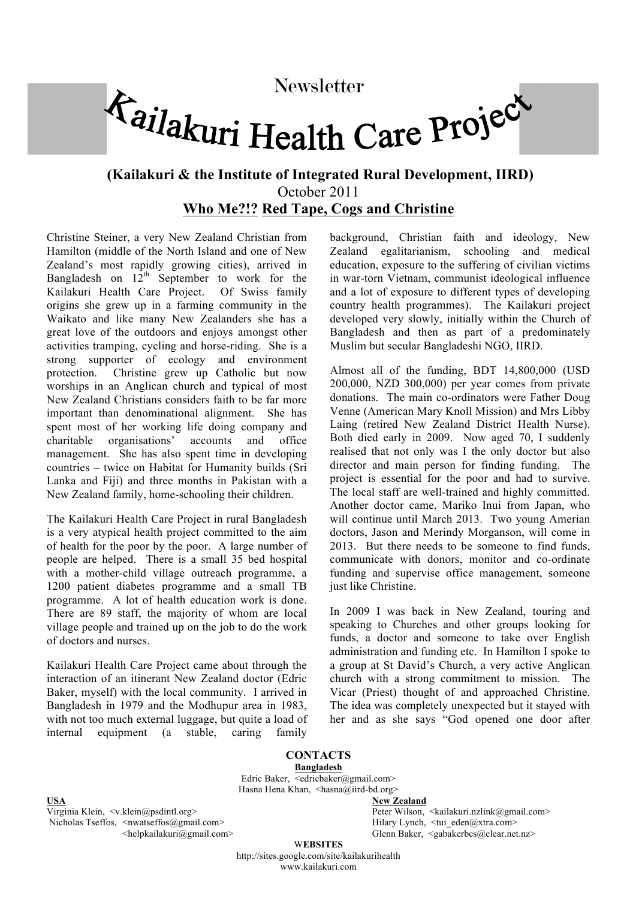## Newsletter<br> *Tailakuri* Health Care Project

## **(Kailakuri & the Institute of Integrated Rural Development, IIRD)** October 2011 **Who Me?!? Red Tape, Cogs and Christine**

Christine Steiner, a very New Zealand Christian from Hamilton (middle of the North Island and one of New Zealand's most rapidly growing cities), arrived in Bangladesh on  $12^{th}$  September to work for the Kailakuri Health Care Project. Of Swiss family origins she grew up in a farming community in the Waikato and like many New Zealanders she has a great love of the outdoors and enjoys amongst other activities tramping, cycling and horse-riding. She is a strong supporter of ecology and environment protection. Christine grew up Catholic but now worships in an Anglican church and typical of most New Zealand Christians considers faith to be far more important than denominational alignment. She has spent most of her working life doing company and charitable organisations' accounts and office management. She has also spent time in developing countries – twice on Habitat for Humanity builds (Sri Lanka and Fiji) and three months in Pakistan with a New Zealand family, home-schooling their children.

The Kailakuri Health Care Project in rural Bangladesh is a very atypical health project committed to the aim of health for the poor by the poor. A large number of people are helped. There is a small 35 bed hospital with a mother-child village outreach programme, a 1200 patient diabetes programme and a small TB programme. A lot of health education work is done. There are 89 staff, the majority of whom are local village people and trained up on the job to do the work of doctors and nurses.

Kailakuri Health Care Project came about through the interaction of an itinerant New Zealand doctor (Edric Baker, myself) with the local community. I arrived in Bangladesh in 1979 and the Modhupur area in 1983, with not too much external luggage, but quite a load of internal equipment (a stable, caring family background, Christian faith and ideology, New Zealand egalitarianism, schooling and medical education, exposure to the suffering of civilian victims in war-torn Vietnam, communist ideological influence and a lot of exposure to different types of developing country health programmes). The Kailakuri project developed very slowly, initially within the Church of Bangladesh and then as part of a predominately Muslim but secular Bangladeshi NGO, IIRD.

Almost all of the funding, BDT 14,800,000 (USD 200,000, NZD 300,000) per year comes from private donations. The main co-ordinators were Father Doug Venne (American Mary Knoll Mission) and Mrs Libby Laing (retired New Zealand District Health Nurse). Both died early in 2009. Now aged 70, I suddenly realised that not only was I the only doctor but also director and main person for finding funding. The project is essential for the poor and had to survive. The local staff are well-trained and highly committed. Another doctor came, Mariko Inui from Japan, who will continue until March 2013. Two young Amerian doctors, Jason and Merindy Morganson, will come in 2013. But there needs to be someone to find funds, communicate with donors, monitor and co-ordinate funding and supervise office management, someone just like Christine.

In 2009 I was back in New Zealand, touring and speaking to Churches and other groups looking for funds, a doctor and someone to take over English administration and funding etc. In Hamilton I spoke to a group at St David's Church, a very active Anglican church with a strong commitment to mission. The Vicar (Priest) thought of and approached Christine. The idea was completely unexpected but it stayed with her and as she says "God opened one door after

**CONTACTS Bangladesh** Edric Baker,  $\leq$ edric $b$ aker $\omega$ gmail.com> Hasna Hena Khan,  $\langle$ hasna@iird-bd.org>

**USA**<br>
Virginia Klein, <v.klein@psdintl.org>
<br> **New Zealand**Peter Wilson, Nicholas Tseffos, <nwatseffos@gmail.com>
Hilary Lynch, <tui\_eden@xtra.com>
Hilary Lynch, <tui\_eden@xtra.com>

Peter Wilson,  $\langle$ kailakuri.nzlink@gmail.com> <helpkailakuri@gmail.com> Glenn Baker, <gabakerbcs@clear.net.nz>

> W**EBSITES** http://sites.google.com/site/kailakurihealth www.kailakuri.com